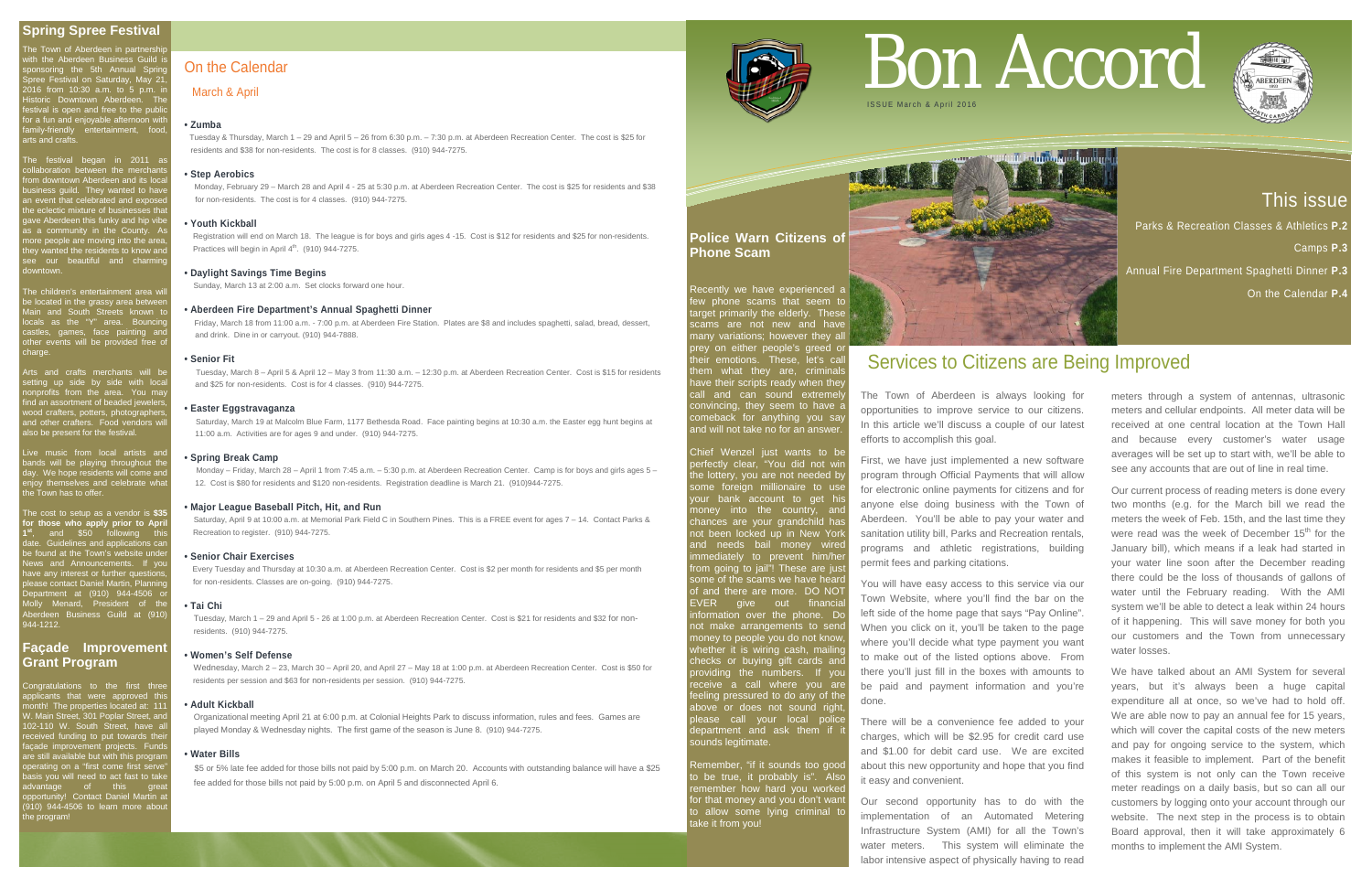# This issue

Parks & Recreation Classes & Athletics **P.2**  Camps **P.3**

Annual Fire Department Spaghetti Dinner **P.3**

On the Calendar **P.4**

The Town of Aberdeen in partnershi with the Aberdeen Business Guild is sponsoring the 5th Annual Spring Spree Festival on Saturday, May 21, 2016 from 10:30 a.m. to 5 p.m. in Historic Downtown Aberdeen. The festival is open and free to the public for a fun and enjoyable afternoon with family-friendly entertainment, food, arts and crafts.

The children's entertainment area wi be located in the grassy area between Main and South Streets known to locals as the "Y" area. Bouncing castles, games, face painting and other events will be provided free of charge.

Arts and crafts merchants will be setting up side by side with local nonprofits from the area. You may find an assortment of beaded jewelers, wood crafters, potters, photographers, and other crafters. Food vendors will so be present for the festival.

Live music from local artists and bands will be playing throughout the day. We hope residents will come and enjoy themselves and celebrate what hjoy themselves<br>the Town has to offer.

The festival began in 2011 as collaboration between the merchants from downtown Aberdeen and its local business guild. They wanted to have an event that celebrated and exposed the eclectic mixture of businesses that ave Aberdeen this funky and hip vibe as a community in the County. As more people are moving into the area, they wanted the residents to know and see our beautiful and charming downtown.

Congratulations to the first three applicants that were approved this month! The properties located at: 111 W. Main Street, 301 Poplar Street, and 102-110 W. South Street, have all received funding to put towards the façade improvement projects. Funds are still available but with this program operating on a "first come first serve" asis you will need to act fast to take advantage of this great opportunity! Contact Daniel Martin at pportainty: compact Damer marting he program!  $\overline{\phantom{a}}$ 

Recently we have experienced a few phone scams that seem to target primarily the elderly. These scams are not new and have many variations; however they all prey on either people's greed or their emotions. These, let's call them what they are, criminals have their scripts ready when they call and can sound extremely convincing, they seem to have a comeback for anything you say and will not take no for an answer.

The cost to setup as a vendor is **\$35 for those who apply prior to April 1st**, and \$50 following this date. Guidelines and applications can adic. Guidelines and applications can<br>be found at the Town's website under News and Announcements. If you have any interest or further questions, please contact Daniel Martin, Planning Department at (910) 944-4506 or Molly Menard, President of the Aberdeen Business Guild at (910) 944-1212.

# **Façade Improvement Grant Program**

 Registration will end on March 18. The league is for boys and girls ages 4 -15. Cost is \$12 for residents and \$25 for non-residents. Practices will begin in April  $4<sup>th</sup>$ . (910) 944-7275.

**Police Warn Citizens of Phone Scam** 

Chief Wenzel just wants to be perfectly clear, "You did not win the lottery, you are not needed by some foreign millionaire to use your bank account to get his noney into the country, and chances are your grandchild has not been locked up in New York and needs bail money wired immediately to prevent him/he rom going to jail"! These are just ome of the scams we have heard of and there are more. DO NOT EVER give out financial information over the phone. Do not make arrangements to send money to people you do not know, whether it is wiring cash, mailing checks or buying gift cards and providing the numbers. If you receive a call where you are eeling pressured to do any of the above or does not sound right please call your local police department and ask them if sounds legitimate.

Remember, "if it sounds too good o be true, it probably is". Als emember how hard you worke for that money and you don't want to allow some lying criminal to take it from you!



On the Calendar

# March & April

# **• Zumba**

Tuesday & Thursday, March 1 – 29 and April 5 – 26 from 6:30 p.m. – 7:30 p.m. at Aberdeen Recreation Center. The cost is \$25 for residents and \$38 for non-residents. The cost is for 8 classes. (910) 944-7275.

# **• Step Aerobics**

Monday, February 29 – March 28 and April 4 - 25 at 5:30 p.m. at Aberdeen Recreation Center. The cost is \$25 for residents and \$38 for non-residents. The cost is for 4 classes. (910) 944-7275.

# **• Youth Kickball**

# **• Daylight Savings Time Begins**

Sunday, March 13 at 2:00 a.m. Set clocks forward one hour.

## **• Aberdeen Fire Department's Annual Spaghetti Dinner**

Friday, March 18 from 11:00 a.m. - 7:00 p.m. at Aberdeen Fire Station. Plates are \$8 and includes spaghetti, salad, bread, dessert, and drink. Dine in or carryout. (910) 944-7888.

#### **• Senior Fit**

 Tuesday, March 8 – April 5 & April 12 – May 3 from 11:30 a.m. – 12:30 p.m. at Aberdeen Recreation Center. Cost is \$15 for residents and \$25 for non-residents. Cost is for 4 classes. (910) 944-7275.

# **• Easter Eggstravaganza**

 Saturday, March 19 at Malcolm Blue Farm, 1177 Bethesda Road. Face painting begins at 10:30 a.m. the Easter egg hunt begins at 11:00 a.m. Activities are for ages 9 and under. (910) 944-7275.

#### **• Spring Break Camp**

 Monday – Friday, March 28 – April 1 from 7:45 a.m. – 5:30 p.m. at Aberdeen Recreation Center. Camp is for boys and girls ages 5 – 12. Cost is \$80 for residents and \$120 non-residents. Registration deadline is March 21. (910)944-7275.

# **• Major League Baseball Pitch, Hit, and Run**

 Saturday, April 9 at 10:00 a.m. at Memorial Park Field C in Southern Pines. This is a FREE event for ages 7 – 14. Contact Parks & Recreation to register. (910) 944-7275.

#### **• Senior Chair Exercises**

Every Tuesday and Thursday at 10:30 a.m. at Aberdeen Recreation Center. Cost is \$2 per month for residents and \$5 per month for non-residents. Classes are on-going. (910) 944-7275.

# **• Tai Chi**

 Tuesday, March 1 – 29 and April 5 - 26 at 1:00 p.m. at Aberdeen Recreation Center. Cost is \$21 for residents and \$32 for non residents. (910) 944-7275.

#### **• Women's Self Defense**

 Wednesday, March 2 – 23, March 30 – April 20, and April 27 – May 18 at 1:00 p.m. at Aberdeen Recreation Center. Cost is \$50 for residents per session and \$63 for non-residents per session. (910) 944-7275.

# **• Adult Kickball**

 Organizational meeting April 21 at 6:00 p.m. at Colonial Heights Park to discuss information, rules and fees. Games are played Monday & Wednesday nights. The first game of the season is June 8. (910) 944-7275.

#### **• Water Bills**

\$5 or 5% late fee added for those bills not paid by 5:00 p.m. on March 20. Accounts with outstanding balance will have a \$25 fee added for those bills not paid by 5:00 p.m. on April 5 and disconnected April 6.



# Bon Accord



# Services to Citizens are Being Improved

The Town of Aberdeen is always looking for opportunities to improve service to our citizens. In this article we'll discuss a couple of our latest efforts to accomplish this goal.

First, we have just implemented a new software program through Official Payments that will allow for electronic online payments for citizens and for anyone else doing business with the Town of Aberdeen. You'll be able to pay your water and sanitation utility bill, Parks and Recreation rentals, programs and athletic registrations, building permit fees and parking citations.

You will have easy access to this service via our Town Website, where you'll find the bar on the left side of the home page that says "Pay Online". When you click on it, you'll be taken to the page where you'll decide what type payment you want to make out of the listed options above. From there you'll just fill in the boxes with amounts to be paid and payment information and you're done.

There will be a convenience fee added to your charges, which will be \$2.95 for credit card use and \$1.00 for debit card use. We are excited about this new opportunity and hope that you find it easy and convenient.

Our second opportunity has to do with the implementation of an Automated Metering Infrastructure System (AMI) for all the Town's water meters. This system will eliminate the labor intensive aspect of physically having to read

meters through a system of antennas, ultrasonic meters and cellular endpoints. All meter data will be received at one central location at the Town Hall and because every customer's water usage averages will be set up to start with, we'll be able to see any accounts that are out of line in real time.

Our current process of reading meters is done every two months (e.g. for the March bill we read the meters the week of Feb. 15th, and the last time they were read was the week of December 15<sup>th</sup> for the January bill), which means if a leak had started in your water line soon after the December reading there could be the loss of thousands of gallons of water until the February reading. With the AMI system we'll be able to detect a leak within 24 hours of it happening. This will save money for both you our customers and the Town from unnecessary water losses.

We have talked about an AMI System for several years, but it's always been a huge capital expenditure all at once, so we've had to hold off. We are able now to pay an annual fee for 15 years, which will cover the capital costs of the new meters and pay for ongoing service to the system, which makes it feasible to implement. Part of the benefit of this system is not only can the Town receive meter readings on a daily basis, but so can all our customers by logging onto your account through our website. The next step in the process is to obtain Board approval, then it will take approximately 6 months to implement the AMI System.